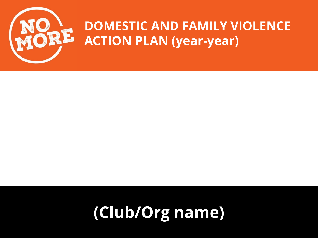

## **DOMESTIC AND FAMILY VIOLENCE ACTION PLAN (year-year)**

# **(Club/Org name)**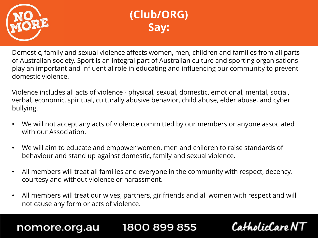

### **(Club/ORG) Say:**

Domestic, family and sexual violence affects women, men, children and families from all parts of Australian society. Sport is an integral part of Australian culture and sporting organisations play an important and influential role in educating and influencing our community to prevent domestic violence.

Violence includes all acts of violence - physical, sexual, domestic, emotional, mental, social, verbal, economic, spiritual, culturally abusive behavior, child abuse, elder abuse, and cyber bullying.

- We will not accept any acts of violence committed by our members or anyone associated with our Association.
- We will aim to educate and empower women, men and children to raise standards of behaviour and stand up against domestic, family and sexual violence.
- All members will treat all families and everyone in the community with respect, decency, courtesy and without violence or harassment.
- All members will treat our wives, partners, girlfriends and all women with respect and will not cause any form or acts of violence.

#### 1800 899 855 nomore.org.au

### CatholicCare N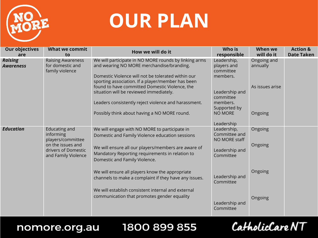

# **OUR PLAN**

| <b>Our objectives</b><br>are       | <b>What we commit</b><br>to                                                                                        | How we will do it                                                                                                                                                                                                                                                                                                                                                  | <b>Who is</b><br>responsible                                                                                   | When we<br>will do it                      | <b>Action &amp;</b><br><b>Date Taken</b> |
|------------------------------------|--------------------------------------------------------------------------------------------------------------------|--------------------------------------------------------------------------------------------------------------------------------------------------------------------------------------------------------------------------------------------------------------------------------------------------------------------------------------------------------------------|----------------------------------------------------------------------------------------------------------------|--------------------------------------------|------------------------------------------|
| <b>Raising</b><br><b>Awareness</b> | <b>Raising Awareness</b><br>for domestic and<br>family violence                                                    | We will participate in NO MORE rounds by linking arms<br>and wearing NO MORE merchandise/branding.<br>Domestic Violence will not be tolerated within our<br>sporting association. If a player/member has been<br>found to have committed Domestic Violence, the<br>situation will be reviewed immediately.<br>Leaders consistently reject violence and harassment. | Leadership,<br>players and<br>committee<br>members.<br>Leadership and<br>committee<br>members.<br>Supported by | Ongoing and<br>annually<br>As issues arise |                                          |
|                                    |                                                                                                                    | Possibly think about having a NO MORE round.                                                                                                                                                                                                                                                                                                                       | <b>NO MORE</b><br>Leadership                                                                                   | Ongoing                                    |                                          |
| <b>Education</b>                   | Educating and<br>informing<br>players/committee<br>on the issues and<br>drivers of Domestic<br>and Family Violence | We will engage with NO MORE to participate in<br>Domestic and Family Violence education sessions<br>We will ensure all our players/members are aware of<br>Mandatory Reporting requirements in relation to<br>Domestic and Family Violence.                                                                                                                        | Leadership,<br>Committee and<br>NO MORE staff<br>Leadership and<br>Committee                                   | Ongoing<br>Ongoing                         |                                          |
|                                    |                                                                                                                    | We will ensure all players know the appropriate<br>channels to make a complaint if they have any issues.                                                                                                                                                                                                                                                           | Leadership and<br>Committee                                                                                    | Ongoing                                    |                                          |
|                                    |                                                                                                                    | We will establish consistent internal and external<br>communication that promotes gender equality                                                                                                                                                                                                                                                                  | Leadership and<br>Committee                                                                                    | Ongoing                                    |                                          |

#### nomore.org.au

### 1800 899 855

### CatholicCare NT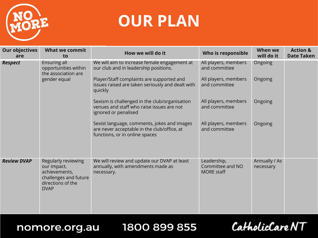

# **OUR PLAN**

| <b>Our objectives</b><br>are | <b>What we commit</b><br>to                                                                                      | How we will do it                                                                                                            | Who is responsible                                   | When we<br>will do it      | <b>Action &amp;</b><br><b>Date Taken</b> |
|------------------------------|------------------------------------------------------------------------------------------------------------------|------------------------------------------------------------------------------------------------------------------------------|------------------------------------------------------|----------------------------|------------------------------------------|
| <b>Respect</b>               | Ensuring all<br>opportunities within<br>the association are<br>gender equal                                      | We will aim to increase female engagement at<br>our club and in leadership positions.                                        | All players, members<br>and committee                | Ongoing                    |                                          |
|                              |                                                                                                                  | Player/Staff complaints are supported and<br>issues raised are taken seriously and dealt with<br>quickly                     | All players, members<br>and committee                | Ongoing                    |                                          |
|                              |                                                                                                                  | Sexism is challenged in the club/organisation<br>venues and staff who raise issues are not<br>ignored or penalised           | All players, members<br>and committee                | Ongoing                    |                                          |
|                              |                                                                                                                  | Sexist language, comments, jokes and images<br>are never acceptable in the club/office, at<br>functions, or in online spaces | All players, members<br>and committee                | Ongoing                    |                                          |
| <b>Review DVAP</b>           | Regularly reviewing<br>our impact,<br>achievements,<br>challenges and future<br>directions of the<br><b>DVAP</b> | We will review and update our DVAP at least<br>annually, with amendments made as<br>necessary.                               | Leadership,<br>Committee and NO<br><b>MORE</b> staff | Annually / As<br>necessary |                                          |

nomore.org.au

1800 899 855

### CatholicCare NT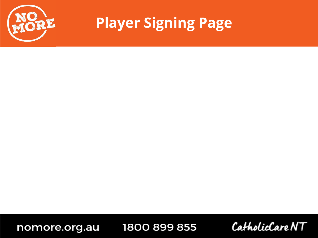

# **Player Signing Page**

nomore.org.au

1800 899 855

CatholicCare NT